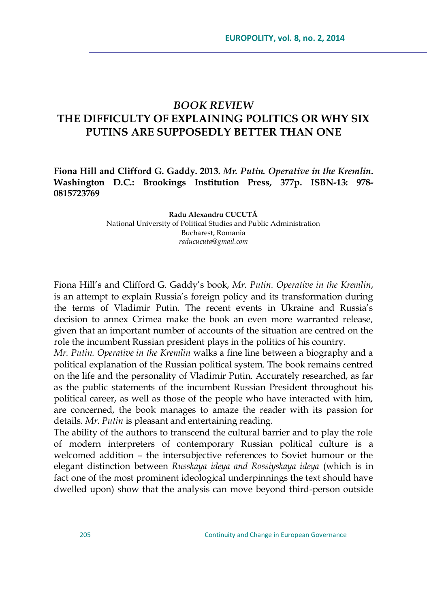## *BOOK REVIEW* **THE DIFFICULTY OF EXPLAINING POLITICS OR WHY SIX PUTINS ARE SUPPOSEDLY BETTER THAN ONE**

**Fiona Hill and Clifford G. Gaddy. 2013.** *Mr. Putin. Operative in the Kremlin***. Washington D.C.: Brookings Institution Press, 377p. ISBN-13: 978- 0815723769**

> **Radu Alexandru CUCUTĂ** National University of Political Studies and Public Administration Bucharest, Romania *raducucuta@gmail.com*

Fiona Hill's and Clifford G. Gaddy's book, *Mr. Putin. Operative in the Kremlin*, is an attempt to explain Russia's foreign policy and its transformation during the terms of Vladimir Putin. The recent events in Ukraine and Russia's decision to annex Crimea make the book an even more warranted release, given that an important number of accounts of the situation are centred on the role the incumbent Russian president plays in the politics of his country.

*Mr. Putin. Operative in the Kremlin* walks a fine line between a biography and a political explanation of the Russian political system. The book remains centred on the life and the personality of Vladimir Putin. Accurately researched, as far as the public statements of the incumbent Russian President throughout his political career, as well as those of the people who have interacted with him, are concerned, the book manages to amaze the reader with its passion for details. *Mr. Putin* is pleasant and entertaining reading.

The ability of the authors to transcend the cultural barrier and to play the role of modern interpreters of contemporary Russian political culture is a welcomed addition – the intersubjective references to Soviet humour or the elegant distinction between *Russkaya ideya and Rossiyskaya ideya* (which is in fact one of the most prominent ideological underpinnings the text should have dwelled upon) show that the analysis can move beyond third-person outside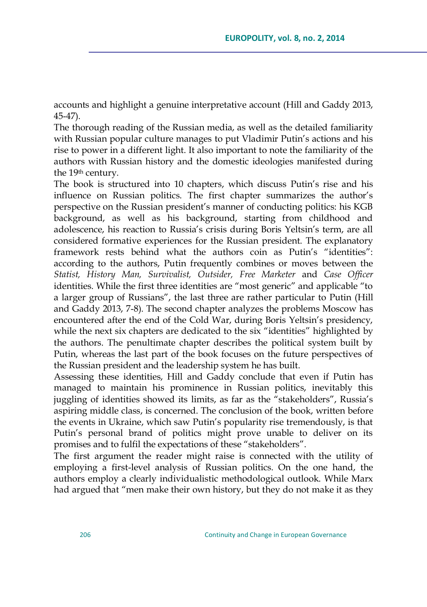accounts and highlight a genuine interpretative account (Hill and Gaddy 2013, 45-47).

The thorough reading of the Russian media, as well as the detailed familiarity with Russian popular culture manages to put Vladimir Putin's actions and his rise to power in a different light. It also important to note the familiarity of the authors with Russian history and the domestic ideologies manifested during the 19<sup>th</sup> century.

The book is structured into 10 chapters, which discuss Putin's rise and his influence on Russian politics. The first chapter summarizes the author's perspective on the Russian president's manner of conducting politics: his KGB background, as well as his background, starting from childhood and adolescence, his reaction to Russia's crisis during Boris Yeltsin's term, are all considered formative experiences for the Russian president. The explanatory framework rests behind what the authors coin as Putin's "identities": according to the authors, Putin frequently combines or moves between the *Statist, History Man, Survivalist, Outsider, Free Marketer* and *Case Officer* identities. While the first three identities are "most generic" and applicable "to a larger group of Russians", the last three are rather particular to Putin (Hill and Gaddy 2013, 7-8). The second chapter analyzes the problems Moscow has encountered after the end of the Cold War, during Boris Yeltsin's presidency, while the next six chapters are dedicated to the six "identities" highlighted by the authors. The penultimate chapter describes the political system built by Putin, whereas the last part of the book focuses on the future perspectives of the Russian president and the leadership system he has built.

Assessing these identities, Hill and Gaddy conclude that even if Putin has managed to maintain his prominence in Russian politics, inevitably this juggling of identities showed its limits, as far as the "stakeholders", Russia's aspiring middle class, is concerned. The conclusion of the book, written before the events in Ukraine, which saw Putin's popularity rise tremendously, is that Putin's personal brand of politics might prove unable to deliver on its promises and to fulfil the expectations of these "stakeholders".

The first argument the reader might raise is connected with the utility of employing a first-level analysis of Russian politics. On the one hand, the authors employ a clearly individualistic methodological outlook. While Marx had argued that "men make their own history, but they do not make it as they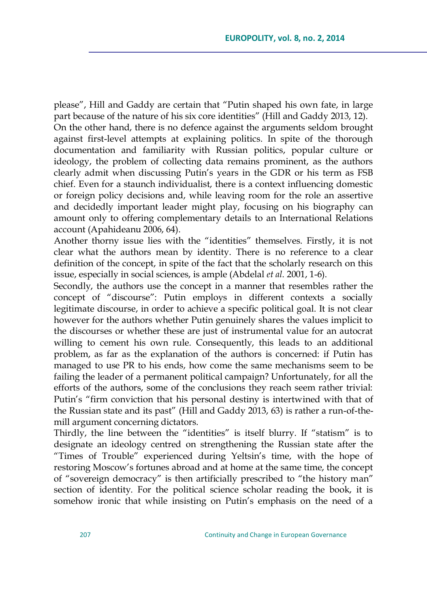please", Hill and Gaddy are certain that "Putin shaped his own fate, in large part because of the nature of his six core identities" (Hill and Gaddy 2013, 12). On the other hand, there is no defence against the arguments seldom brought against first-level attempts at explaining politics. In spite of the thorough documentation and familiarity with Russian politics, popular culture or ideology, the problem of collecting data remains prominent, as the authors clearly admit when discussing Putin's years in the GDR or his term as FSB chief. Even for a staunch individualist, there is a context influencing domestic or foreign policy decisions and, while leaving room for the role an assertive and decidedly important leader might play, focusing on his biography can amount only to offering complementary details to an International Relations account (Apahideanu 2006, 64).

Another thorny issue lies with the "identities" themselves. Firstly, it is not clear what the authors mean by identity. There is no reference to a clear definition of the concept, in spite of the fact that the scholarly research on this issue, especially in social sciences, is ample (Abdelal *et al*. 2001, 1-6).

Secondly, the authors use the concept in a manner that resembles rather the concept of "discourse": Putin employs in different contexts a socially legitimate discourse, in order to achieve a specific political goal. It is not clear however for the authors whether Putin genuinely shares the values implicit to the discourses or whether these are just of instrumental value for an autocrat willing to cement his own rule. Consequently, this leads to an additional problem, as far as the explanation of the authors is concerned: if Putin has managed to use PR to his ends, how come the same mechanisms seem to be failing the leader of a permanent political campaign? Unfortunately, for all the efforts of the authors, some of the conclusions they reach seem rather trivial: Putin's "firm conviction that his personal destiny is intertwined with that of the Russian state and its past" (Hill and Gaddy 2013, 63) is rather a run-of-themill argument concerning dictators.

Thirdly, the line between the "identities" is itself blurry. If "statism" is to designate an ideology centred on strengthening the Russian state after the "Times of Trouble" experienced during Yeltsin's time, with the hope of restoring Moscow's fortunes abroad and at home at the same time, the concept of "sovereign democracy" is then artificially prescribed to "the history man" section of identity. For the political science scholar reading the book, it is somehow ironic that while insisting on Putin's emphasis on the need of a